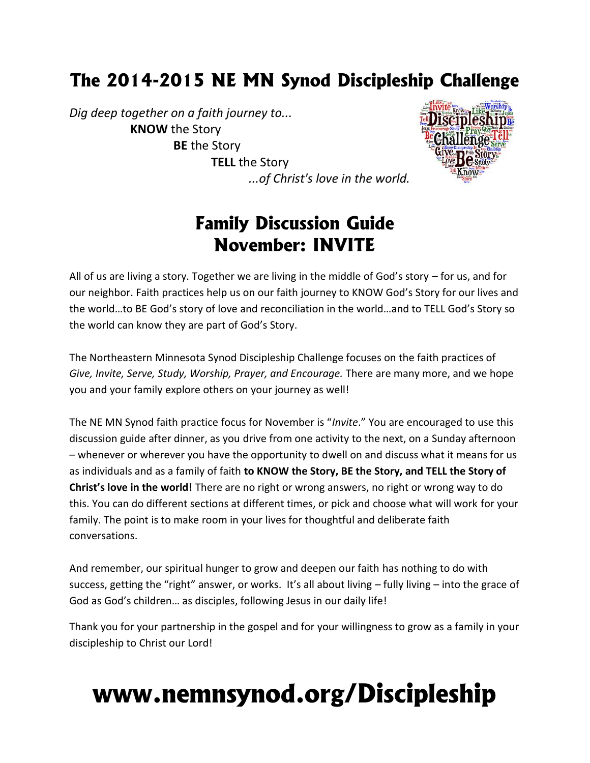# **The 2014-2015 NE MN Synod Discipleship Challenge**

*Dig deep together on a faith journey to...* **KNOW** the Story **BE** the Story **TELL** the Story *...of Christ's love in the world.*



# **Family Discussion Guide November: INVITE**

All of us are living a story. Together we are living in the middle of God's story – for us, and for our neighbor. Faith practices help us on our faith journey to KNOW God's Story for our lives and the world…to BE God's story of love and reconciliation in the world…and to TELL God's Story so the world can know they are part of God's Story.

The Northeastern Minnesota Synod Discipleship Challenge focuses on the faith practices of *Give, Invite, Serve, Study, Worship, Prayer, and Encourage.* There are many more, and we hope you and your family explore others on your journey as well!

The NE MN Synod faith practice focus for November is "*Invite*." You are encouraged to use this discussion guide after dinner, as you drive from one activity to the next, on a Sunday afternoon – whenever or wherever you have the opportunity to dwell on and discuss what it means for us as individuals and as a family of faith **to KNOW the Story, BE the Story, and TELL the Story of Christ's love in the world!** There are no right or wrong answers, no right or wrong way to do this. You can do different sections at different times, or pick and choose what will work for your family. The point is to make room in your lives for thoughtful and deliberate faith conversations.

And remember, our spiritual hunger to grow and deepen our faith has nothing to do with success, getting the "right" answer, or works. It's all about living – fully living – into the grace of God as God's children… as disciples, following Jesus in our daily life!

Thank you for your partnership in the gospel and for your willingness to grow as a family in your discipleship to Christ our Lord!

# **www.nemnsynod.org/Discipleship**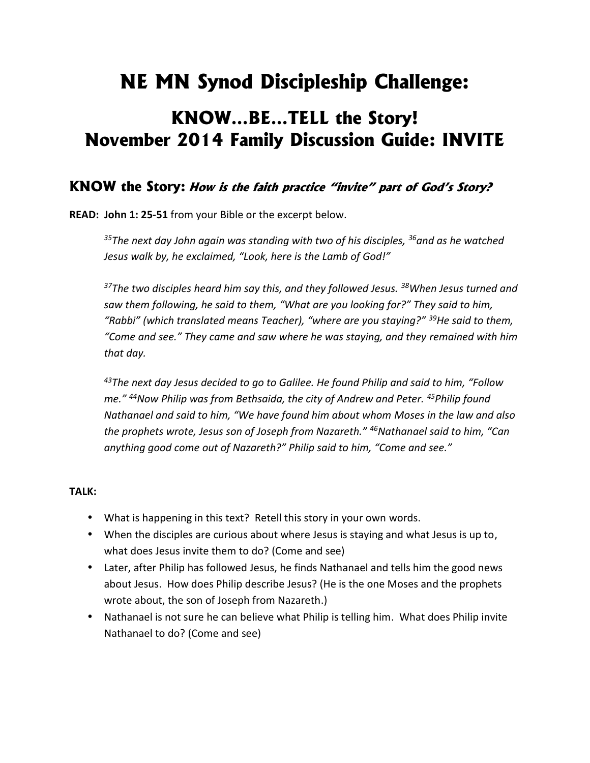# **NE MN Synod Discipleship Challenge:**

# **KNOW…BE…TELL the Story! November 2014 Family Discussion Guide: INVITE**

### **KNOW the Story:** *How is the faith practice "invite" part of God's Story?*

**READ: John 1: 25-51** from your Bible or the excerpt below.

*<sup>35</sup>The next day John again was standing with two of his disciples, <sup>36</sup>and as he watched Jesus walk by, he exclaimed, "Look, here is the Lamb of God!"*

*<sup>37</sup>The two disciples heard him say this, and they followed Jesus. <sup>38</sup>When Jesus turned and saw them following, he said to them, "What are you looking for?" They said to him, "Rabbi" (which translated means Teacher), "where are you staying?" <sup>39</sup>He said to them, "Come and see." They came and saw where he was staying, and they remained with him that day.*

*<sup>43</sup>The next day Jesus decided to go to Galilee. He found Philip and said to him, "Follow me." <sup>44</sup>Now Philip was from Bethsaida, the city of Andrew and Peter. <sup>45</sup>Philip found Nathanael and said to him, "We have found him about whom Moses in the law and also the prophets wrote, Jesus son of Joseph from Nazareth." <sup>46</sup>Nathanael said to him, "Can anything good come out of Nazareth?" Philip said to him, "Come and see."*

#### **TALK:**

- What is happening in this text? Retell this story in your own words.
- When the disciples are curious about where Jesus is staying and what Jesus is up to, what does Jesus invite them to do? (Come and see)
- Later, after Philip has followed Jesus, he finds Nathanael and tells him the good news about Jesus. How does Philip describe Jesus? (He is the one Moses and the prophets wrote about, the son of Joseph from Nazareth.)
- Nathanael is not sure he can believe what Philip is telling him. What does Philip invite Nathanael to do? (Come and see)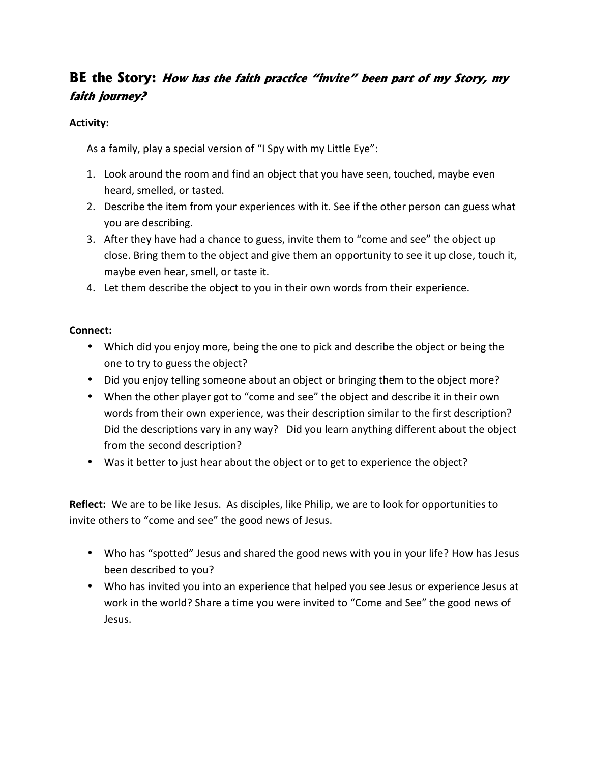# **BE the Story:** *How has the faith practice "invite" been part of my Story, my faith journey?*

### **Activity:**

As a family, play a special version of "I Spy with my Little Eye":

- 1. Look around the room and find an object that you have seen, touched, maybe even heard, smelled, or tasted.
- 2. Describe the item from your experiences with it. See if the other person can guess what you are describing.
- 3. After they have had a chance to guess, invite them to "come and see" the object up close. Bring them to the object and give them an opportunity to see it up close, touch it, maybe even hear, smell, or taste it.
- 4. Let them describe the object to you in their own words from their experience.

### **Connect:**

- Which did you enjoy more, being the one to pick and describe the object or being the one to try to guess the object?
- Did you enjoy telling someone about an object or bringing them to the object more?
- When the other player got to "come and see" the object and describe it in their own words from their own experience, was their description similar to the first description? Did the descriptions vary in any way? Did you learn anything different about the object from the second description?
- Was it better to just hear about the object or to get to experience the object?

**Reflect:** We are to be like Jesus. As disciples, like Philip, we are to look for opportunities to invite others to "come and see" the good news of Jesus.

- Who has "spotted" Jesus and shared the good news with you in your life? How has Jesus been described to you?
- Who has invited you into an experience that helped you see Jesus or experience Jesus at work in the world? Share a time you were invited to "Come and See" the good news of Jesus.